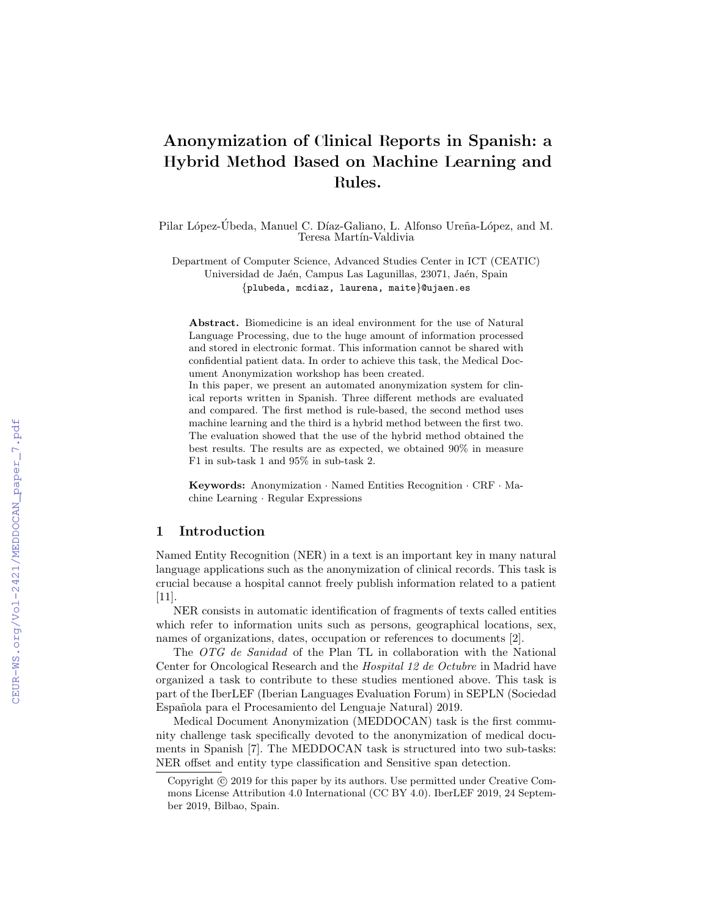# Anonymization of Clinical Reports in Spanish: a Hybrid Method Based on Machine Learning and Rules.

Pilar López-Ubeda, Manuel C. Díaz-Galiano, L. Alfonso Ureña-López, and M. Teresa Martín-Valdivia

Department of Computer Science, Advanced Studies Center in ICT (CEATIC) Universidad de Jaén, Campus Las Lagunillas, 23071, Jaén, Spain {plubeda, mcdiaz, laurena, maite}@ujaen.es

Abstract. Biomedicine is an ideal environment for the use of Natural Language Processing, due to the huge amount of information processed and stored in electronic format. This information cannot be shared with confidential patient data. In order to achieve this task, the Medical Document Anonymization workshop has been created.

In this paper, we present an automated anonymization system for clinical reports written in Spanish. Three different methods are evaluated and compared. The first method is rule-based, the second method uses machine learning and the third is a hybrid method between the first two. The evaluation showed that the use of the hybrid method obtained the best results. The results are as expected, we obtained 90% in measure F1 in sub-task 1 and 95% in sub-task 2.

Keywords: Anonymization · Named Entities Recognition · CRF · Machine Learning · Regular Expressions

## 1 Introduction

Named Entity Recognition (NER) in a text is an important key in many natural language applications such as the anonymization of clinical records. This task is crucial because a hospital cannot freely publish information related to a patient [11].

NER consists in automatic identification of fragments of texts called entities which refer to information units such as persons, geographical locations, sex, names of organizations, dates, occupation or references to documents [2].

The OTG de Sanidad of the Plan TL in collaboration with the National Center for Oncological Research and the Hospital 12 de Octubre in Madrid have organized a task to contribute to these studies mentioned above. This task is part of the IberLEF (Iberian Languages Evaluation Forum) in SEPLN (Sociedad Española para el Procesamiento del Lenguaje Natural) 2019.

Medical Document Anonymization (MEDDOCAN) task is the first community challenge task specifically devoted to the anonymization of medical documents in Spanish [7]. The MEDDOCAN task is structured into two sub-tasks: NER offset and entity type classification and Sensitive span detection.

Copyright  $\odot$  2019 for this paper by its authors. Use permitted under Creative Commons License Attribution 4.0 International (CC BY 4.0). IberLEF 2019, 24 September 2019, Bilbao, Spain.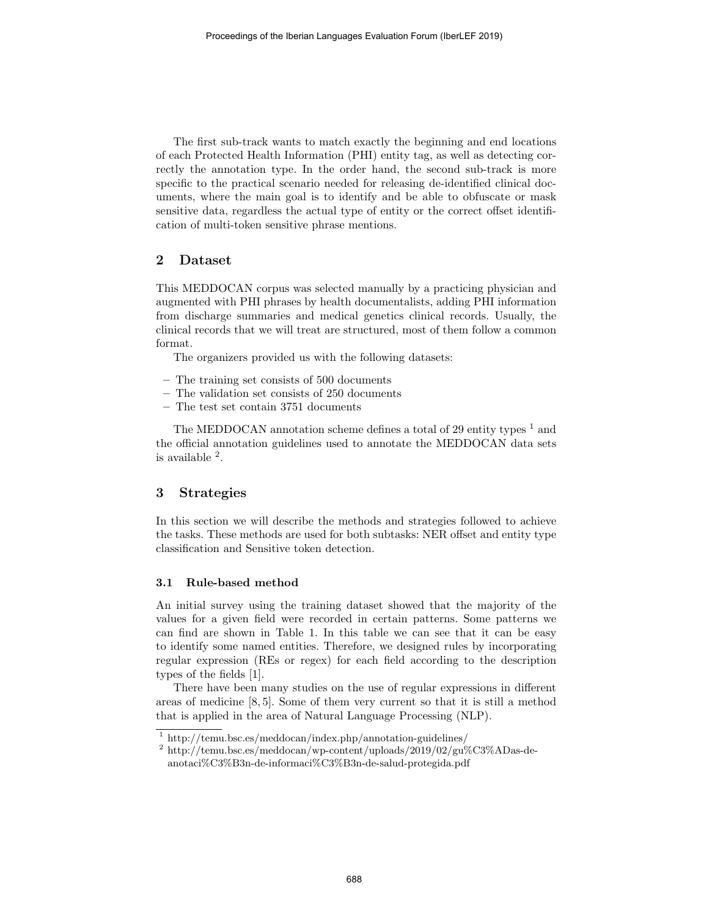The first sub-track wants to match exactly the beginning and end locations of each Protected Health Information (PHI) entity tag, as well as detecting correctly the annotation type. In the order hand, the second sub-track is more specific to the practical scenario needed for releasing de-identified clinical documents, where the main goal is to identify and be able to obfuscate or mask sensitive data, regardless the actual type of entity or the correct offset identification of multi-token sensitive phrase mentions.

## 2 Dataset

This MEDDOCAN corpus was selected manually by a practicing physician and augmented with PHI phrases by health documentalists, adding PHI information from discharge summaries and medical genetics clinical records. Usually, the clinical records that we will treat are structured, most of them follow a common format.

The organizers provided us with the following datasets:

- The training set consists of 500 documents
- The validation set consists of 250 documents
- The test set contain 3751 documents

The MEDDOCAN annotation scheme defines a total of 29 entity types  $<sup>1</sup>$  and</sup> the official annotation guidelines used to annotate the MEDDOCAN data sets is available <sup>2</sup> .

## 3 Strategies

In this section we will describe the methods and strategies followed to achieve the tasks. These methods are used for both subtasks: NER offset and entity type classification and Sensitive token detection.

#### 3.1 Rule-based method

An initial survey using the training dataset showed that the majority of the values for a given field were recorded in certain patterns. Some patterns we can find are shown in Table 1. In this table we can see that it can be easy to identify some named entities. Therefore, we designed rules by incorporating regular expression (REs or regex) for each field according to the description types of the fields [1].

There have been many studies on the use of regular expressions in different areas of medicine [8, 5]. Some of them very current so that it is still a method that is applied in the area of Natural Language Processing (NLP).

<sup>1</sup> http://temu.bsc.es/meddocan/index.php/annotation-guidelines/

 $^2$ http://temu.bsc.es/meddocan/wp-content/uploads/2019/02/gu%C3%ADas-deanotaci%C3%B3n-de-informaci%C3%B3n-de-salud-protegida.pdf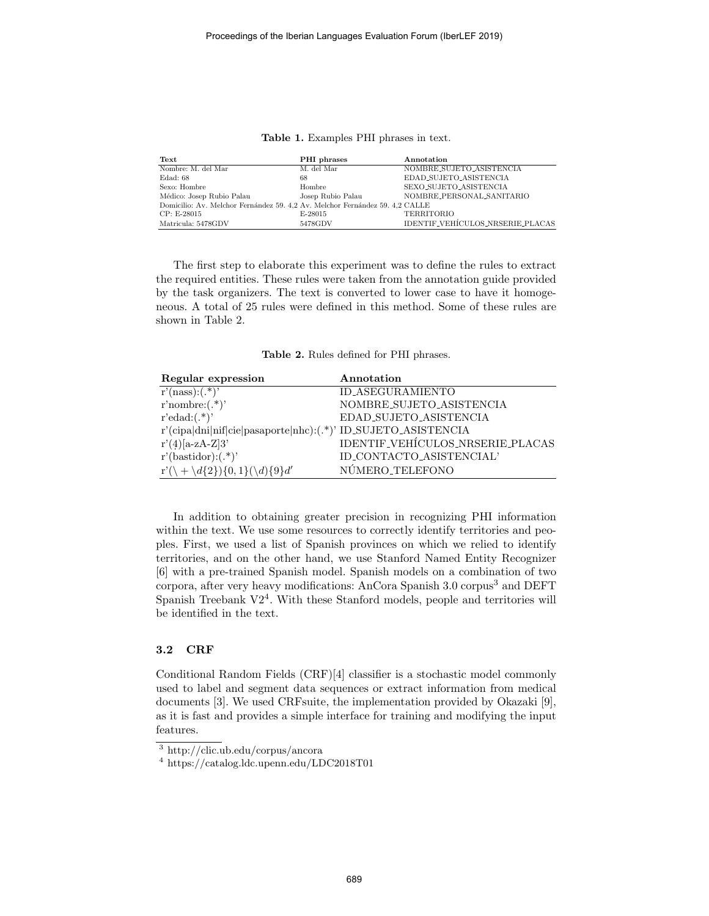| Text                                                                         | PHI phrases       | Annotation                       |  |  |
|------------------------------------------------------------------------------|-------------------|----------------------------------|--|--|
| Nombre: M. del Mar                                                           | M. del Mar        | NOMBRE_SUJETO_ASISTENCIA         |  |  |
| Edad: 68                                                                     | 68                | EDAD_SUJETO_ASISTENCIA           |  |  |
| Sexo: Hombre                                                                 | Hombre            | SEXO_SUJETO_ASISTENCIA           |  |  |
| Médico: Josep Rubio Palau                                                    | Josep Rubio Palau | NOMBRE_PERSONAL_SANITARIO        |  |  |
| Domicilio: Av. Melchor Fernández 59. 4.2 Av. Melchor Fernández 59. 4.2 CALLE |                   |                                  |  |  |
| CP: E-28015                                                                  | E-28015           | <b>TERRITORIO</b>                |  |  |
| Matricula: 5478GDV                                                           | 5478GDV           | IDENTIF_VEHÍCULOS_NRSERIE_PLACAS |  |  |

Table 1. Examples PHI phrases in text.

The first step to elaborate this experiment was to define the rules to extract the required entities. These rules were taken from the annotation guide provided by the task organizers. The text is converted to lower case to have it homogeneous. A total of 25 rules were defined in this method. Some of these rules are shown in Table 2.

Table 2. Rules defined for PHI phrases.

| Regular expression                                            | Annotation                       |
|---------------------------------------------------------------|----------------------------------|
| $r'$ (nass):(.*)'                                             | ID_ASEGURAMIENTO                 |
| r'nombre: $(\cdot^*)$ '                                       | NOMBRE_SUJETO_ASISTENCIA         |
| $r'edad:(.*)'$                                                | EDAD_SUJETO_ASISTENCIA           |
| r'(cipa dni nif cie pasaporte nhc):(.*)' ID_SUJETO_ASISTENCIA |                                  |
| $r'(4)[a-zA-Z]3'$                                             | IDENTIF_VEHÍCULOS_NRSERIE_PLACAS |
| $r'(\text{bastidor}):(.*)$                                    | ID_CONTACTO_ASISTENCIAL'         |
| $r'(\mathcal{A}{2})\{0,1\}(\mathcal{A}{9}d'$                  | NÚMERO_TELEFONO                  |

In addition to obtaining greater precision in recognizing PHI information within the text. We use some resources to correctly identify territories and peoples. First, we used a list of Spanish provinces on which we relied to identify territories, and on the other hand, we use Stanford Named Entity Recognizer [6] with a pre-trained Spanish model. Spanish models on a combination of two corpora, after very heavy modifications: AnCora Spanish 3.0 corpus<sup>3</sup> and DEFT Spanish Treebank V2<sup>4</sup>. With these Stanford models, people and territories will be identified in the text.

#### 3.2 CRF

Conditional Random Fields (CRF)[4] classifier is a stochastic model commonly used to label and segment data sequences or extract information from medical documents [3]. We used CRFsuite, the implementation provided by Okazaki [9], as it is fast and provides a simple interface for training and modifying the input features.

<sup>3</sup> http://clic.ub.edu/corpus/ancora

<sup>4</sup> https://catalog.ldc.upenn.edu/LDC2018T01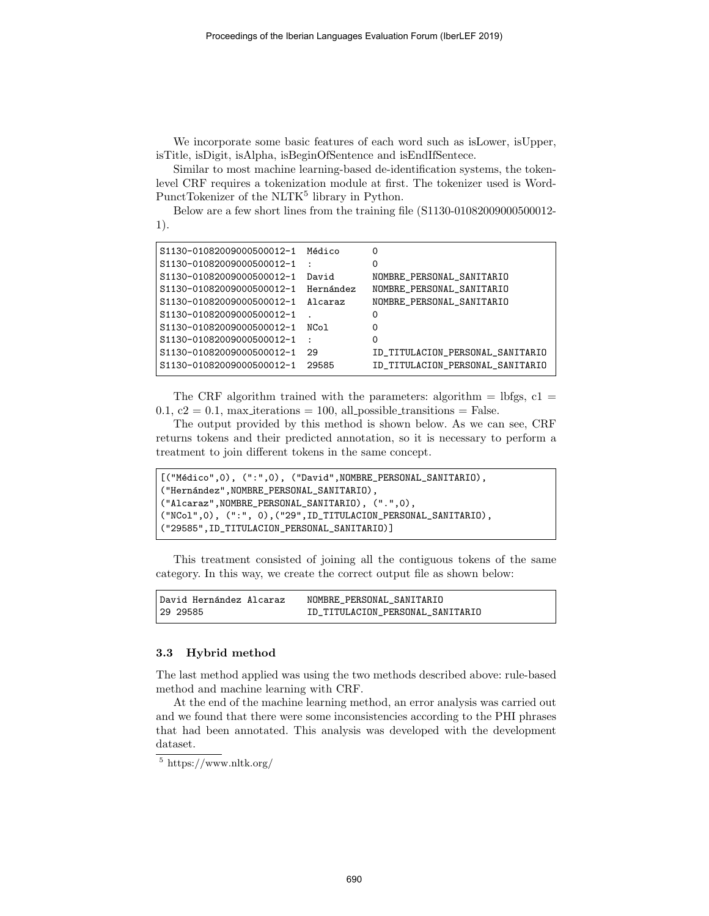We incorporate some basic features of each word such as isLower, isUpper, isTitle, isDigit, isAlpha, isBeginOfSentence and isEndIfSentece.

Similar to most machine learning-based de-identification systems, the tokenlevel CRF requires a tokenization module at first. The tokenizer used is Word-PunctTokenizer of the NLTK<sup>5</sup> library in Python.

Below are a few short lines from the training file (S1130-01082009000500012- 1).

```
S1130-01082009000500012-1 Médico 0
S1130-01082009000500012-1 : 0
S1130-01082009000500012-1 David NOMBRE_PERSONAL_SANITARIO
S1130-01082009000500012-1 Hernández NOMBRE_PERSONAL_SANITARIO
S1130-01082009000500012-1 Alcaraz NOMBRE_PERSONAL_SANITARIO
S1130-01082009000500012-1 . 0
S1130-01082009000500012-1 NCol 0
S1130-01082009000500012-1 : 0
S1130-01082009000500012-1 29 ID_TITULACION_PERSONAL_SANITARIO
S1130-01082009000500012-1 29585 ID_TITULACION_PERSONAL_SANITARIO
```
The CRF algorithm trained with the parameters: algorithm  $=$  lbfgs, c1  $=$ 0.1,  $c2 = 0.1$ , max iterations = 100, all possible transitions = False.

The output provided by this method is shown below. As we can see, CRF returns tokens and their predicted annotation, so it is necessary to perform a treatment to join different tokens in the same concept.

```
[("Médico",0), (":",0), ("David",NOMBRE_PERSONAL_SANITARIO),
("Hernández",NOMBRE_PERSONAL_SANITARIO),
("Alcaraz",NOMBRE_PERSONAL_SANITARIO), (".",0),
("NCol",0), (":", 0),("29",ID_TITULACION_PERSONAL_SANITARIO),
("29585",ID_TITULACION_PERSONAL_SANITARIO)]
```
This treatment consisted of joining all the contiguous tokens of the same category. In this way, we create the correct output file as shown below:

| David Hernández Alcaraz | NOMBRE PERSONAL SANITARIO        |
|-------------------------|----------------------------------|
| 29 29 58 5              | ID TITULACION PERSONAL SANITARIO |

#### 3.3 Hybrid method

The last method applied was using the two methods described above: rule-based method and machine learning with CRF.

At the end of the machine learning method, an error analysis was carried out and we found that there were some inconsistencies according to the PHI phrases that had been annotated. This analysis was developed with the development dataset.

 $\frac{5}{5}$  https://www.nltk.org/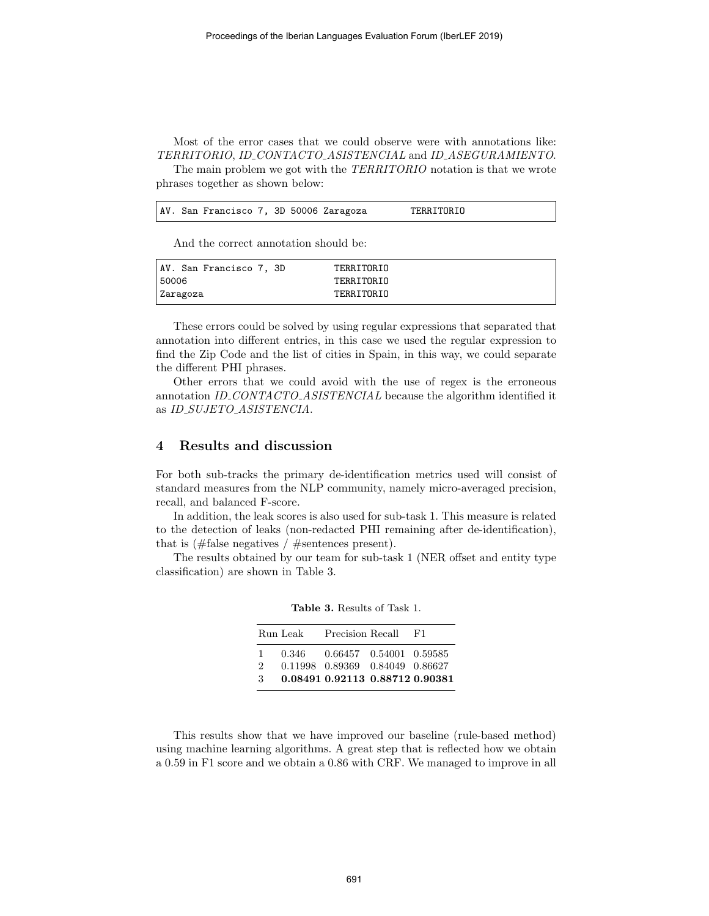Most of the error cases that we could observe were with annotations like: TERRITORIO, ID CONTACTO ASISTENCIAL and ID ASEGURAMIENTO.

The main problem we got with the TERRITORIO notation is that we wrote phrases together as shown below:

AV. San Francisco 7, 3D 50006 Zaragoza TERRITORIO

And the correct annotation should be:

| AV. San Francisco 7, 3D | TERRITORIO |  |
|-------------------------|------------|--|
| 50006                   | TERRITORIO |  |
| Zaragoza                | TERRITORIO |  |

These errors could be solved by using regular expressions that separated that annotation into different entries, in this case we used the regular expression to find the Zip Code and the list of cities in Spain, in this way, we could separate the different PHI phrases.

Other errors that we could avoid with the use of regex is the erroneous annotation ID\_CONTACTO\_ASISTENCIAL because the algorithm identified it as ID\_SUJETO\_ASISTENCIA.

## 4 Results and discussion

For both sub-tracks the primary de-identification metrics used will consist of standard measures from the NLP community, namely micro-averaged precision, recall, and balanced F-score.

In addition, the leak scores is also used for sub-task 1. This measure is related to the detection of leaks (non-redacted PHI remaining after de-identification), that is (#false negatives / #sentences present).

The results obtained by our team for sub-task 1 (NER offset and entity type classification) are shown in Table 3.

|               | Run Leak | Precision Recall                | F1. |
|---------------|----------|---------------------------------|-----|
| 1.            | 0.346    | 0.66457 0.54001 0.59585         |     |
| $\mathcal{D}$ |          | 0.11998 0.89369 0.84049 0.86627 |     |
| -3            |          | 0.08491 0.92113 0.88712 0.90381 |     |

Table 3. Results of Task 1.

This results show that we have improved our baseline (rule-based method) using machine learning algorithms. A great step that is reflected how we obtain a 0.59 in F1 score and we obtain a 0.86 with CRF. We managed to improve in all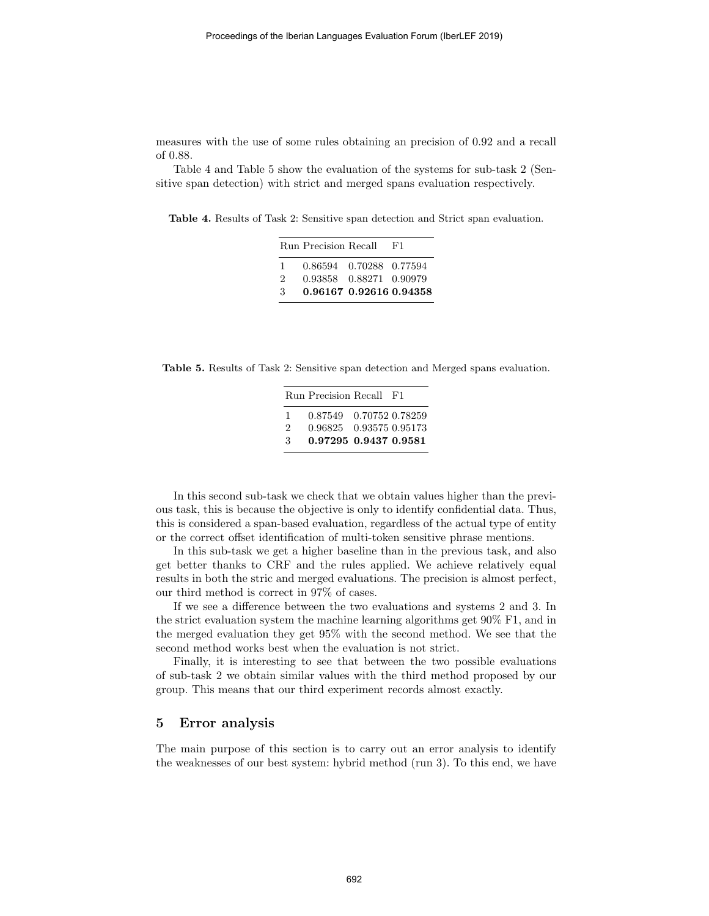measures with the use of some rules obtaining an precision of 0.92 and a recall of 0.88.

Table 4 and Table 5 show the evaluation of the systems for sub-task 2 (Sensitive span detection) with strict and merged spans evaluation respectively.

Table 4. Results of Task 2: Sensitive span detection and Strict span evaluation.

|               | Run Precision Recall    | -F'1 |
|---------------|-------------------------|------|
| Т.            | 0.86594 0.70288 0.77594 |      |
| $\mathcal{D}$ | 0.93858 0.88271 0.90979 |      |
| 3             | 0.96167 0.92616 0.94358 |      |

Table 5. Results of Task 2: Sensitive span detection and Merged spans evaluation.

|                | Run Precision Recall F1 |  |
|----------------|-------------------------|--|
| $\overline{1}$ | 0.87549 0.70752 0.78259 |  |
| $\mathcal{D}$  | 0.96825 0.93575 0.95173 |  |
| 3              | 0.97295 0.9437 0.9581   |  |

In this second sub-task we check that we obtain values higher than the previous task, this is because the objective is only to identify confidential data. Thus, this is considered a span-based evaluation, regardless of the actual type of entity or the correct offset identification of multi-token sensitive phrase mentions.

In this sub-task we get a higher baseline than in the previous task, and also get better thanks to CRF and the rules applied. We achieve relatively equal results in both the stric and merged evaluations. The precision is almost perfect, our third method is correct in 97% of cases.

If we see a difference between the two evaluations and systems 2 and 3. In the strict evaluation system the machine learning algorithms get 90% F1, and in the merged evaluation they get 95% with the second method. We see that the second method works best when the evaluation is not strict.

Finally, it is interesting to see that between the two possible evaluations of sub-task 2 we obtain similar values with the third method proposed by our group. This means that our third experiment records almost exactly.

## 5 Error analysis

The main purpose of this section is to carry out an error analysis to identify the weaknesses of our best system: hybrid method (run 3). To this end, we have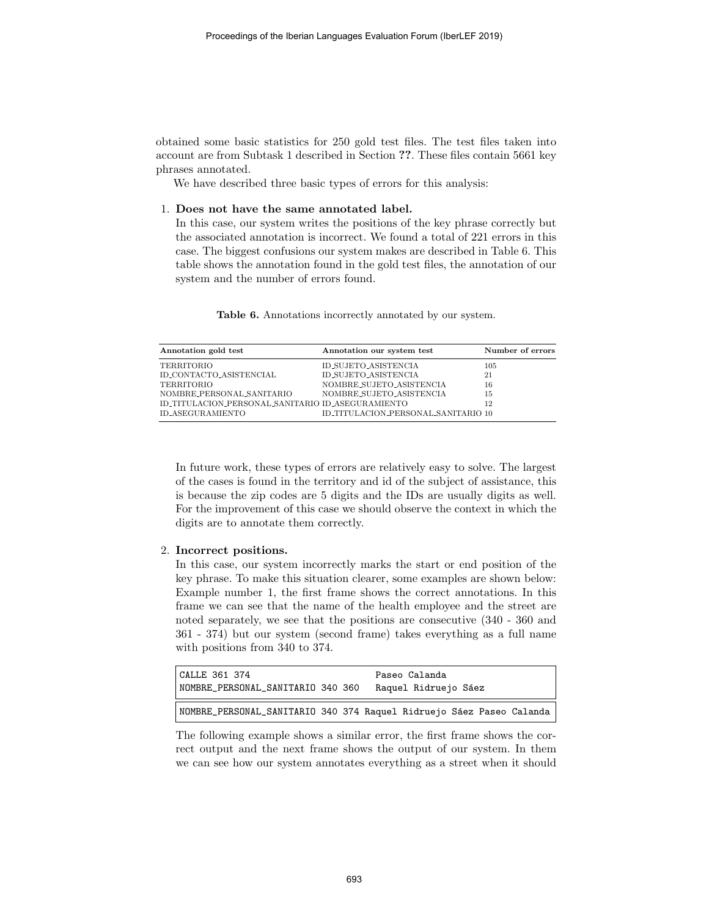obtained some basic statistics for 250 gold test files. The test files taken into account are from Subtask 1 described in Section ??. These files contain 5661 key phrases annotated.

We have described three basic types of errors for this analysis:

1. Does not have the same annotated label.

In this case, our system writes the positions of the key phrase correctly but the associated annotation is incorrect. We found a total of 221 errors in this case. The biggest confusions our system makes are described in Table 6. This table shows the annotation found in the gold test files, the annotation of our system and the number of errors found.

| Annotation gold test                              | Annotation our system test          | Number of errors |
|---------------------------------------------------|-------------------------------------|------------------|
| TERRITORIO                                        | ID_SUJETO_ASISTENCIA                | 105              |
| ID_CONTACTO_ASISTENCIAL                           | ID_SUJETO_ASISTENCIA                | 21               |
| TERRITORIO                                        | NOMBRE_SUJETO_ASISTENCIA            | 16               |
| NOMBRE_PERSONAL_SANITARIO                         | NOMBRE_SUJETO_ASISTENCIA            | 15               |
| ID_TITULACION_PERSONAL_SANITARIO ID_ASEGURAMIENTO |                                     | 12               |
| ID_ASEGURAMIENTO                                  | ID_TITULACION_PERSONAL_SANITARIO 10 |                  |

Table 6. Annotations incorrectly annotated by our system.

In future work, these types of errors are relatively easy to solve. The largest of the cases is found in the territory and id of the subject of assistance, this is because the zip codes are 5 digits and the IDs are usually digits as well. For the improvement of this case we should observe the context in which the digits are to annotate them correctly.

#### 2. Incorrect positions.

In this case, our system incorrectly marks the start or end position of the key phrase. To make this situation clearer, some examples are shown below: Example number 1, the first frame shows the correct annotations. In this frame we can see that the name of the health employee and the street are noted separately, we see that the positions are consecutive (340 - 360 and 361 - 374) but our system (second frame) takes everything as a full name with positions from 340 to 374.

| CALLE 361 374<br>  NOMBRE_PERSONAL_SANITARIO 340 360 |  | Paseo Calanda<br>Raquel Ridruejo Sáez                                |
|------------------------------------------------------|--|----------------------------------------------------------------------|
|                                                      |  | NOMBRE_PERSONAL_SANITARIO 340 374 Raquel Ridruejo Sáez Paseo Calanda |

The following example shows a similar error, the first frame shows the correct output and the next frame shows the output of our system. In them we can see how our system annotates everything as a street when it should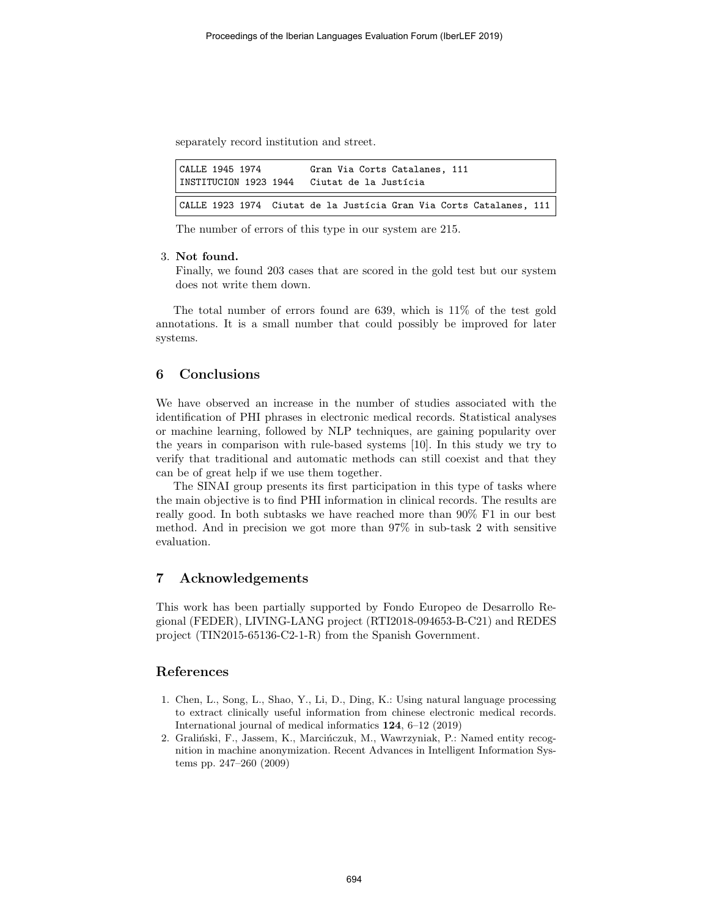separately record institution and street.

| CALLE 1945 1974<br>INSTITUCION 1923 1944 | Gran Via Corts Catalanes, 111<br>Ciutat de la Justícia              |  |
|------------------------------------------|---------------------------------------------------------------------|--|
|                                          | CALLE 1923 1974 Ciutat de la Justícia Gran Via Corts Catalanes, 111 |  |

The number of errors of this type in our system are 215.

### 3. Not found.

Finally, we found 203 cases that are scored in the gold test but our system does not write them down.

The total number of errors found are 639, which is 11% of the test gold annotations. It is a small number that could possibly be improved for later systems.

# 6 Conclusions

We have observed an increase in the number of studies associated with the identification of PHI phrases in electronic medical records. Statistical analyses or machine learning, followed by NLP techniques, are gaining popularity over the years in comparison with rule-based systems [10]. In this study we try to verify that traditional and automatic methods can still coexist and that they can be of great help if we use them together.

The SINAI group presents its first participation in this type of tasks where the main objective is to find PHI information in clinical records. The results are really good. In both subtasks we have reached more than 90% F1 in our best method. And in precision we got more than 97% in sub-task 2 with sensitive evaluation.

## 7 Acknowledgements

This work has been partially supported by Fondo Europeo de Desarrollo Regional (FEDER), LIVING-LANG project (RTI2018-094653-B-C21) and REDES project (TIN2015-65136-C2-1-R) from the Spanish Government.

## References

- 1. Chen, L., Song, L., Shao, Y., Li, D., Ding, K.: Using natural language processing to extract clinically useful information from chinese electronic medical records. International journal of medical informatics 124, 6–12 (2019)
- 2. Graliński, F., Jassem, K., Marcińczuk, M., Wawrzyniak, P.: Named entity recognition in machine anonymization. Recent Advances in Intelligent Information Systems pp. 247–260 (2009)